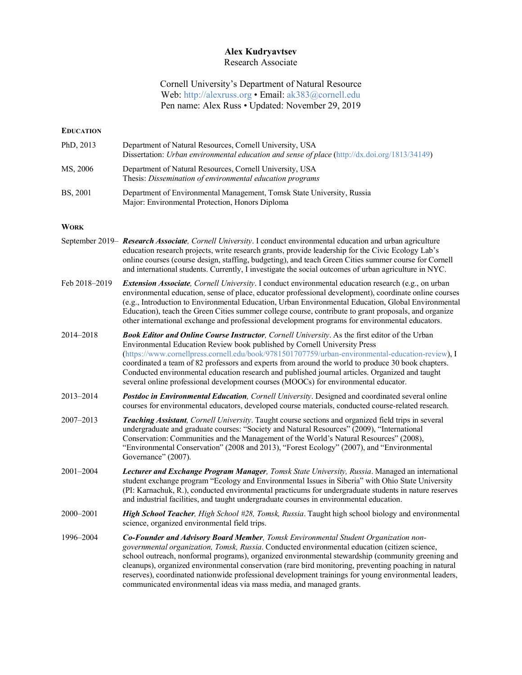## **Alex Kudryavtsev** Research Associate

# Cornell University's Department of Natural Resource Web: http://alexruss.org • Email: ak383@cornell.edu Pen name: Alex Russ • Updated: November 29, 2019

## **EDUCATION**

| PhD, $2013$     | Department of Natural Resources, Cornell University, USA<br>Dissertation: Urban environmental education and sense of place (http://dx.doi.org/1813/34149) |
|-----------------|-----------------------------------------------------------------------------------------------------------------------------------------------------------|
| MS, 2006        | Department of Natural Resources, Cornell University, USA<br>Thesis: Dissemination of environmental education programs                                     |
| <b>BS, 2001</b> | Department of Environmental Management, Tomsk State University, Russia<br>Maior: Environmental Protection. Honors Diploma                                 |

## **WORK**

- September 2019– *Research Associate, Cornell University*. I conduct environmental education and urban agriculture education research projects, write research grants, provide leadership for the Civic Ecology Lab's online courses (course design, staffing, budgeting), and teach Green Cities summer course for Cornell and international students. Currently, I investigate the social outcomes of urban agriculture in NYC.
- Feb 2018–2019 *Extension Associate, Cornell University*. I conduct environmental education research (e.g., on urban environmental education, sense of place, educator professional development), coordinate online courses (e.g., Introduction to Environmental Education, Urban Environmental Education, Global Environmental Education), teach the Green Cities summer college course, contribute to grant proposals, and organize other international exchange and professional development programs for environmental educators.
- 2014–2018 *Book Editor and Online Course Instructor, Cornell University*. As the first editor of the Urban Environmental Education Review book published by Cornell University Press (https://www.cornellpress.cornell.edu/book/9781501707759/urban-environmental-education-review), I coordinated a team of 82 professors and experts from around the world to produce 30 book chapters. Conducted environmental education research and published journal articles. Organized and taught several online professional development courses (MOOCs) for environmental educator.
- 2013–2014 *Postdoc in Environmental Education, Cornell University*. Designed and coordinated several online courses for environmental educators, developed course materials, conducted course-related research.
- 2007–2013 *Teaching Assistant, Cornell University*. Taught course sections and organized field trips in several undergraduate and graduate courses: "Society and Natural Resources" (2009), "International Conservation: Communities and the Management of the World's Natural Resources" (2008), "Environmental Conservation" (2008 and 2013), "Forest Ecology" (2007), and "Environmental Governance" (2007).
- 2001–2004 *Lecturer and Exchange Program Manager, Tomsk State University, Russia*. Managed an international student exchange program "Ecology and Environmental Issues in Siberia" with Ohio State University (PI: Karnachuk, R.), conducted environmental practicums for undergraduate students in nature reserves and industrial facilities, and taught undergraduate courses in environmental education.
- 2000–2001 *High School Teacher, High School #28, Tomsk, Russia*. Taught high school biology and environmental science, organized environmental field trips.
- 1996–2004 *Co-Founder and Advisory Board Member, Tomsk Environmental Student Organization nongovernmental organization, Tomsk, Russia*. Conducted environmental education (citizen science, school outreach, nonformal programs), organized environmental stewardship (community greening and cleanups), organized environmental conservation (rare bird monitoring, preventing poaching in natural reserves), coordinated nationwide professional development trainings for young environmental leaders, communicated environmental ideas via mass media, and managed grants.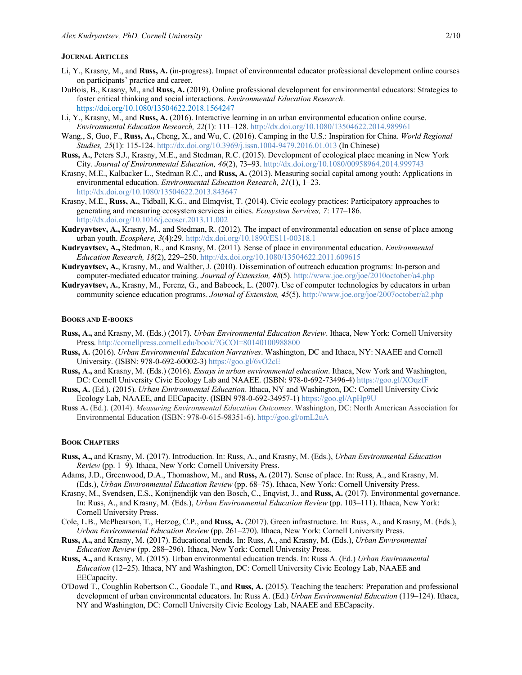#### **JOURNAL ARTICLES**

- Li, Y., Krasny, M., and **Russ, A.** (in-progress). Impact of environmental educator professional development online courses on participants' practice and career.
- DuBois, B., Krasny, M., and **Russ, A.** (2019). Online professional development for environmental educators: Strategies to foster critical thinking and social interactions. *Environmental Education Research*. https://doi.org/10.1080/13504622.2018.1564247
- Li, Y., Krasny, M., and **Russ, A.** (2016). Interactive learning in an urban environmental education online course. *Environmental Education Research, 22*(1): 111–128. http://dx.doi.org/10.1080/13504622.2014.989961
- Wang., S, Guo, F., **Russ, A.,** Cheng, X., and Wu, C. (2016). Camping in the U.S.: Inspiration for China. *World Regional Studies, 25*(1): 115-124. http://dx.doi.org/10.3969/j.issn.1004-9479.2016.01.013 (In Chinese)
- **Russ, A.**, Peters S.J., Krasny, M.E., and Stedman, R.C. (2015). Development of ecological place meaning in New York City. *Journal of Environmental Education, 46*(2), 73–93. http://dx.doi.org/10.1080/00958964.2014.999743
- Krasny, M.E., Kalbacker L., Stedman R.C., and **Russ, A.** (2013). Measuring social capital among youth: Applications in environmental education. *Environmental Education Research, 21*(1), 1–23. http://dx.doi.org/10.1080/13504622.2013.843647
- Krasny, M.E., **Russ, A.**, Tidball, K.G., and Elmqvist, T. (2014). Civic ecology practices: Participatory approaches to generating and measuring ecosystem services in cities. *Ecosystem Services, 7*: 177–186. http://dx.doi.org/10.1016/j.ecoser.2013.11.002
- **Kudryavtsev, A.,** Krasny, M., and Stedman, R. (2012). The impact of environmental education on sense of place among urban youth. *Ecosphere, 3*(4):29. http://dx.doi.org/10.1890/ES11-00318.1
- **Kudryavtsev, A.,** Stedman, R., and Krasny, M. (2011). Sense of place in environmental education. *Environmental Education Research, 18*(2), 229–250. http://dx.doi.org/10.1080/13504622.2011.609615
- **Kudryavtsev, A.**, Krasny, M., and Walther, J. (2010). Dissemination of outreach education programs: In-person and computer-mediated educator training. *Journal of Extension, 48*(5). http://www.joe.org/joe/2010october/a4.php
- **Kudryavtsev, A.**, Krasny, M., Ferenz, G., and Babcock, L. (2007). Use of computer technologies by educators in urban community science education programs. *Journal of Extension, 45*(5). http://www.joe.org/joe/2007october/a2.php

#### **BOOKS AND E-BOOKS**

- **Russ, A.,** and Krasny, M. (Eds.) (2017). *Urban Environmental Education Review*. Ithaca, New York: Cornell University Press. http://cornellpress.cornell.edu/book/?GCOI=80140100988800
- **Russ, A.** (2016). *Urban Environmental Education Narratives*. Washington, DC and Ithaca, NY: NAAEE and Cornell University. (ISBN: 978-0-692-60002-3) https://goo.gl/6vO2cE
- **Russ, A.,** and Krasny, M. (Eds.) (2016). *Essays in urban environmental education*. Ithaca, New York and Washington, DC: Cornell University Civic Ecology Lab and NAAEE. (ISBN: 978-0-692-73496-4) https://goo.gl/XOqzfF
- **Russ, A.** (Ed.). (2015). *Urban Environmental Education*. Ithaca, NY and Washington, DC: Cornell University Civic Ecology Lab, NAAEE, and EECapacity. (ISBN 978-0-692-34957-1) https://goo.gl/ApHp9U
- **Russ A.** (Ed.). (2014). *Measuring Environmental Education Outcomes*. Washington, DC: North American Association for Environmental Education (ISBN: 978-0-615-98351-6). http://goo.gl/omL2uA

#### **BOOK CHAPTERS**

- **Russ, A.,** and Krasny, M. (2017). Introduction. In: Russ, A., and Krasny, M. (Eds.), *Urban Environmental Education Review* (pp. 1–9). Ithaca, New York: Cornell University Press.
- Adams, J.D., Greenwood, D.A., Thomashow, M., and **Russ, A.** (2017). Sense of place. In: Russ, A., and Krasny, M. (Eds.), *Urban Environmental Education Review* (pp. 68–75). Ithaca, New York: Cornell University Press.
- Krasny, M., Svendsen, E.S., Konijnendijk van den Bosch, C., Enqvist, J., and **Russ, A.** (2017). Environmental governance. In: Russ, A., and Krasny, M. (Eds.), *Urban Environmental Education Review* (pp. 103–111). Ithaca, New York: Cornell University Press.
- Cole, L.B., McPhearson, T., Herzog, C.P., and **Russ, A.** (2017). Green infrastructure. In: Russ, A., and Krasny, M. (Eds.), *Urban Environmental Education Review* (pp. 261–270). Ithaca, New York: Cornell University Press.
- **Russ, A.,** and Krasny, M. (2017). Educational trends. In: Russ, A., and Krasny, M. (Eds.), *Urban Environmental Education Review* (pp. 288–296). Ithaca, New York: Cornell University Press.
- **Russ, A.,** and Krasny, M. (2015). Urban environmental education trends. In: Russ A. (Ed.) *Urban Environmental Education* (12–25). Ithaca, NY and Washington, DC: Cornell University Civic Ecology Lab, NAAEE and EECapacity.
- O'Dowd T., Coughlin Robertson C., Goodale T., and **Russ, A.** (2015). Teaching the teachers: Preparation and professional development of urban environmental educators. In: Russ A. (Ed.) *Urban Environmental Education* (119–124). Ithaca, NY and Washington, DC: Cornell University Civic Ecology Lab, NAAEE and EECapacity.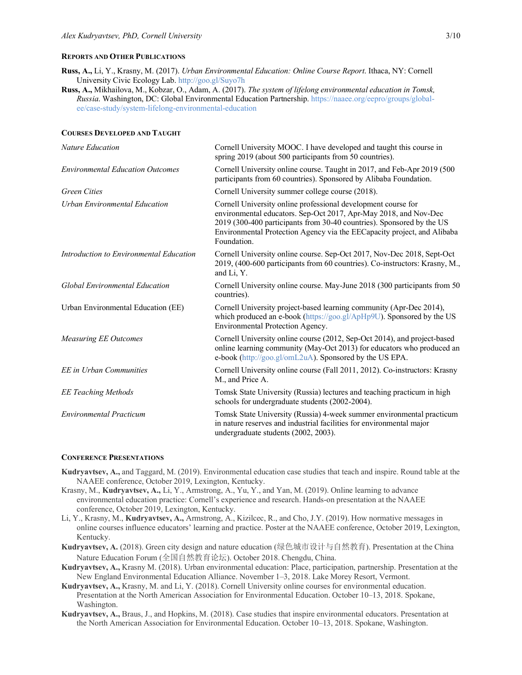## **REPORTS AND OTHER PUBLICATIONS**

- **Russ, A.,** Li, Y., Krasny, M. (2017). *Urban Environmental Education: Online Course Report*. Ithaca, NY: Cornell University Civic Ecology Lab. http://goo.gl/Suyo7h
- **Russ, A.,** Mikhailova, M., Kobzar, O., Adam, A. (2017). *The system of lifelong environmental education in Tomsk, Russia*. Washington, DC: Global Environmental Education Partnership. https://naaee.org/eepro/groups/globalee/case-study/system-lifelong-environmental-education

#### **COURSES DEVELOPED AND TAUGHT**

| Nature Education                        | Cornell University MOOC. I have developed and taught this course in<br>spring 2019 (about 500 participants from 50 countries).                                                                                                                                                                       |
|-----------------------------------------|------------------------------------------------------------------------------------------------------------------------------------------------------------------------------------------------------------------------------------------------------------------------------------------------------|
| <b>Environmental Education Outcomes</b> | Cornell University online course. Taught in 2017, and Feb-Apr 2019 (500)<br>participants from 60 countries). Sponsored by Alibaba Foundation.                                                                                                                                                        |
| <b>Green Cities</b>                     | Cornell University summer college course (2018).                                                                                                                                                                                                                                                     |
| Urban Environmental Education           | Cornell University online professional development course for<br>environmental educators. Sep-Oct 2017, Apr-May 2018, and Nov-Dec<br>2019 (300-400 participants from 30-40 countries). Sponsored by the US<br>Environmental Protection Agency via the EECapacity project, and Alibaba<br>Foundation. |
| Introduction to Environmental Education | Cornell University online course. Sep-Oct 2017, Nov-Dec 2018, Sept-Oct<br>2019, (400-600 participants from 60 countries). Co-instructors: Krasny, M.,<br>and Li, Y.                                                                                                                                  |
| <b>Global Environmental Education</b>   | Cornell University online course. May-June 2018 (300 participants from 50<br>countries).                                                                                                                                                                                                             |
| Urban Environmental Education (EE)      | Cornell University project-based learning community (Apr-Dec 2014),<br>which produced an e-book (https://goo.gl/ApHp9U). Sponsored by the US<br>Environmental Protection Agency.                                                                                                                     |
| <b>Measuring EE Outcomes</b>            | Cornell University online course (2012, Sep-Oct 2014), and project-based<br>online learning community (May-Oct 2013) for educators who produced an<br>e-book (http://goo.gl/omL2uA). Sponsored by the US EPA.                                                                                        |
| EE in Urban Communities                 | Cornell University online course (Fall 2011, 2012). Co-instructors: Krasny<br>M., and Price A.                                                                                                                                                                                                       |
| <b>EE Teaching Methods</b>              | Tomsk State University (Russia) lectures and teaching practicum in high<br>schools for undergraduate students (2002-2004).                                                                                                                                                                           |
| <b>Environmental Practicum</b>          | Tomsk State University (Russia) 4-week summer environmental practicum<br>in nature reserves and industrial facilities for environmental major<br>undergraduate students (2002, 2003).                                                                                                                |

#### **CONFERENCE PRESENTATIONS**

- **Kudryavtsev, A.,** and Taggard, M. (2019). Environmental education case studies that teach and inspire. Round table at the NAAEE conference, October 2019, Lexington, Kentucky.
- Krasny, M., **Kudryavtsev, A.,** Li, Y., Armstrong, A., Yu, Y., and Yan, M. (2019). Online learning to advance environmental education practice: Cornell's experience and research. Hands-on presentation at the NAAEE conference, October 2019, Lexington, Kentucky.
- Li, Y., Krasny, M., **Kudryavtsev, A.,** Armstrong, A., Kizilcec, R., and Cho, J.Y. (2019). How normative messages in online courses influence educators' learning and practice. Poster at the NAAEE conference, October 2019, Lexington, Kentucky.
- **Kudryavtsev, A.** (2018). Green city design and nature education (绿色城市设计与自然教育). Presentation at the China Nature Education Forum (全国自然教育论坛). October 2018. Chengdu, China.
- **Kudryavtsev, A.,** Krasny M. (2018). Urban environmental education: Place, participation, partnership. Presentation at the New England Environmental Education Alliance. November 1–3, 2018. Lake Morey Resort, Vermont.
- **Kudryavtsev, A.,** Krasny, M. and Li, Y. (2018). Cornell University online courses for environmental education. Presentation at the North American Association for Environmental Education. October 10–13, 2018. Spokane, Washington.
- **Kudryavtsev, A.,** Braus, J., and Hopkins, M. (2018). Case studies that inspire environmental educators. Presentation at the North American Association for Environmental Education. October 10–13, 2018. Spokane, Washington.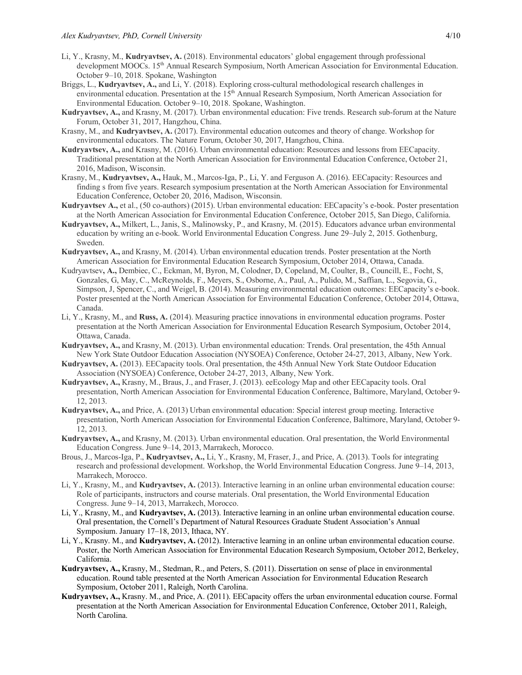- Li, Y., Krasny, M., **Kudryavtsev, A.** (2018). Environmental educators' global engagement through professional development MOOCs. 15<sup>th</sup> Annual Research Symposium, North American Association for Environmental Education. October 9–10, 2018. Spokane, Washington
- Briggs, L., **Kudryavtsev, A.,** and Li, Y. (2018). Exploring cross-cultural methodological research challenges in environmental education. Presentation at the 15<sup>th</sup> Annual Research Symposium, North American Association for Environmental Education. October 9–10, 2018. Spokane, Washington.
- **Kudryavtsev, A.,** and Krasny, M. (2017). Urban environmental education: Five trends. Research sub-forum at the Nature Forum, October 31, 2017, Hangzhou, China.
- Krasny, M., and **Kudryavtsev, A.** (2017). Environmental education outcomes and theory of change. Workshop for environmental educators. The Nature Forum, October 30, 2017, Hangzhou, China.
- **Kudryavtsev, A.,** and Krasny, M. (2016). Urban environmental education: Resources and lessons from EECapacity. Traditional presentation at the North American Association for Environmental Education Conference, October 21, 2016, Madison, Wisconsin.
- Krasny, M., **Kudryavtsev, A.,** Hauk, M., Marcos-Iga, P., Li, Y. and Ferguson A. (2016). EECapacity: Resources and finding s from five years. Research symposium presentation at the North American Association for Environmental Education Conference, October 20, 2016, Madison, Wisconsin.
- **Kudryavtsev A.,** et al., (50 co-authors) (2015). Urban environmental education: EECapacity's e-book. Poster presentation at the North American Association for Environmental Education Conference, October 2015, San Diego, California.
- **Kudryavtsev, A.,** Milkert, L., Janis, S., Malinowsky, P., and Krasny, M. (2015). Educators advance urban environmental education by writing an e-book. World Environmental Education Congress. June 29–July 2, 2015. Gothenburg, Sweden.
- **Kudryavtsev, A.,** and Krasny, M. (2014). Urban environmental education trends. Poster presentation at the North American Association for Environmental Education Research Symposium, October 2014, Ottawa, Canada.
- Kudryavtsev**, A.,** Dembiec, C., Eckman, M, Byron, M, Colodner, D, Copeland, M, Coulter, B., Councill, E., Focht, S, Gonzales, G, May, C., McReynolds, F., Meyers, S., Osborne, A., Paul, A., Pulido, M., Saffian, L., Segovia, G., Simpson, J, Spencer, C., and Weigel, B. (2014). Measuring environmental education outcomes: EECapacity's e-book. Poster presented at the North American Association for Environmental Education Conference, October 2014, Ottawa, Canada.
- Li, Y., Krasny, M., and **Russ, A.** (2014). Measuring practice innovations in environmental education programs. Poster presentation at the North American Association for Environmental Education Research Symposium, October 2014, Ottawa, Canada.
- **Kudryavtsev, A.,** and Krasny, M. (2013). Urban environmental education: Trends. Oral presentation, the 45th Annual New York State Outdoor Education Association (NYSOEA) Conference, October 24-27, 2013, Albany, New York.
- **Kudryavtsev, A.** (2013). EECapacity tools. Oral presentation, the 45th Annual New York State Outdoor Education Association (NYSOEA) Conference, October 24-27, 2013, Albany, New York.
- **Kudryavtsev, A.,** Krasny, M., Braus, J., and Fraser, J. (2013). eeEcology Map and other EECapacity tools. Oral presentation, North American Association for Environmental Education Conference, Baltimore, Maryland, October 9- 12, 2013.
- **Kudryavtsev, A.,** and Price, A. (2013) Urban environmental education: Special interest group meeting. Interactive presentation, North American Association for Environmental Education Conference, Baltimore, Maryland, October 9- 12, 2013.
- **Kudryavtsev, A.,** and Krasny, M. (2013). Urban environmental education. Oral presentation, the World Environmental Education Congress. June 9–14, 2013, Marrakech, Morocco.
- Brous, J., Marcos-Iga, P., **Kudryavtsev, A.,** Li, Y., Krasny, M, Fraser, J., and Price, A. (2013). Tools for integrating research and professional development. Workshop, the World Environmental Education Congress. June 9–14, 2013, Marrakech, Morocco.
- Li, Y., Krasny, M., and **Kudryavtsev, A.** (2013). Interactive learning in an online urban environmental education course: Role of participants, instructors and course materials. Oral presentation, the World Environmental Education Congress. June 9–14, 2013, Marrakech, Morocco.
- Li, Y., Krasny, M., and **Kudryavtsev, A.** (2013). Interactive learning in an online urban environmental education course. Oral presentation, the Cornell's Department of Natural Resources Graduate Student Association's Annual Symposium. January 17–18, 2013, Ithaca, NY.
- Li, Y., Krasny. M., and **Kudryavtsev, A.** (2012). Interactive learning in an online urban environmental education course. Poster, the North American Association for Environmental Education Research Symposium, October 2012, Berkeley, California.
- **Kudryavtsev, A.,** Krasny, M., Stedman, R., and Peters, S. (2011). Dissertation on sense of place in environmental education. Round table presented at the North American Association for Environmental Education Research Symposium, October 2011, Raleigh, North Carolina.
- **Kudryavtsev, A.,** Krasny. M., and Price, A. (2011). EECapacity offers the urban environmental education course. Formal presentation at the North American Association for Environmental Education Conference, October 2011, Raleigh, North Carolina.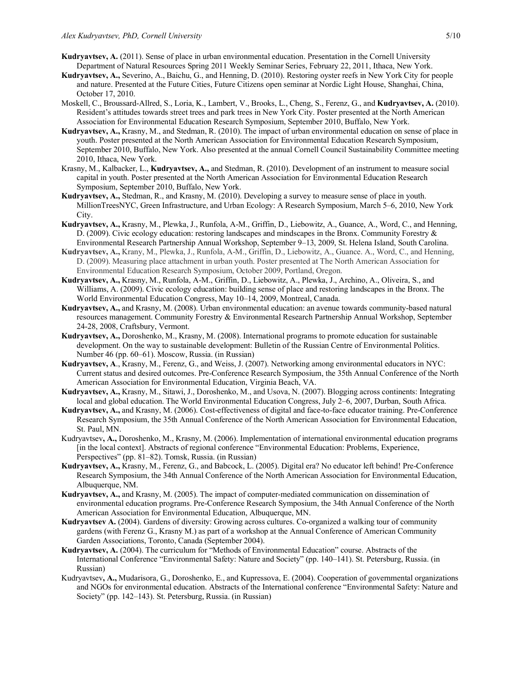- **Kudryavtsev, A.** (2011). Sense of place in urban environmental education. Presentation in the Cornell University Department of Natural Resources Spring 2011 Weekly Seminar Series, February 22, 2011, Ithaca, New York.
- **Kudryavtsev, A.,** Severino, A., Baichu, G., and Henning, D. (2010). Restoring oyster reefs in New York City for people and nature. Presented at the Future Cities, Future Citizens open seminar at Nordic Light House, Shanghai, China, October 17, 2010.
- Moskell, C., Broussard-Allred, S., Loria, K., Lambert, V., Brooks, L., Cheng, S., Ferenz, G., and **Kudryavtsev, A.** (2010). Resident's attitudes towards street trees and park trees in New York City. Poster presented at the North American Association for Environmental Education Research Symposium, September 2010, Buffalo, New York.
- **Kudryavtsev, A.,** Krasny, M., and Stedman, R. (2010). The impact of urban environmental education on sense of place in youth. Poster presented at the North American Association for Environmental Education Research Symposium, September 2010, Buffalo, New York. Also presented at the annual Cornell Council Sustainability Committee meeting 2010, Ithaca, New York.
- Krasny, M., Kalbacker, L., **Kudryavtsev, A.,** and Stedman, R. (2010). Development of an instrument to measure social capital in youth. Poster presented at the North American Association for Environmental Education Research Symposium, September 2010, Buffalo, New York.
- **Kudryavtsev, A.,** Stedman, R., and Krasny, M. (2010). Developing a survey to measure sense of place in youth. MillionTreesNYC, Green Infrastructure, and Urban Ecology: A Research Symposium, March 5–6, 2010, New York City.
- **Kudryavtsev, A.,** Krasny, M., Plewka, J., Runfola, A-M., Griffin, D., Liebowitz, A., Guance, A., Word, C., and Henning, D. (2009). Civic ecology education: restoring landscapes and mindscapes in the Bronx. Community Forestry & Environmental Research Partnership Annual Workshop, September 9–13, 2009, St. Helena Island, South Carolina.
- **Kudryavtsev, A.,** Krany, M., Plewka, J., Runfola, A-M., Griffin, D., Liebowitz, A., Guance. A., Word, C., and Henning, D. (2009). Measuring place attachment in urban youth. Poster presented at The North American Association for Environmental Education Research Symposium, October 2009, Portland, Oregon.
- **Kudryavtsev, A.,** Krasny, M., Runfola, A-M., Griffin, D., Liebowitz, A., Plewka, J., Archino, A., Oliveira, S., and Williams, A. (2009). Civic ecology education: building sense of place and restoring landscapes in the Bronx. The World Environmental Education Congress, May 10–14, 2009, Montreal, Canada.
- **Kudryavtsev, A.,** and Krasny, M. (2008). Urban environmental education: an avenue towards community-based natural resources management. Community Forestry & Environmental Research Partnership Annual Workshop, September 24-28, 2008, Craftsbury, Vermont.
- **Kudryavtsev, A.,** Doroshenko, M., Krasny, M. (2008). International programs to promote education for sustainable development. On the way to sustainable development: Bulletin of the Russian Centre of Environmental Politics. Number 46 (pp. 60–61). Moscow, Russia. (in Russian)
- **Kudryavtsev, A**., Krasny, M., Ferenz, G., and Weiss, J. (2007). Networking among environmental educators in NYC: Current status and desired outcomes. Pre-Conference Research Symposium, the 35th Annual Conference of the North American Association for Environmental Education, Virginia Beach, VA.
- **Kudryavtsev, A.,** Krasny, M., Sitawi, J., Doroshenko, M., and Usova, N. (2007). Blogging across continents: Integrating local and global education. The World Environmental Education Congress, July 2–6, 2007, Durban, South Africa.
- **Kudryavtsev, A.,** and Krasny, M. (2006). Cost-effectiveness of digital and face-to-face educator training. Pre-Conference Research Symposium, the 35th Annual Conference of the North American Association for Environmental Education, St. Paul, MN.
- Kudryavtsev**, A.,** Doroshenko, M., Krasny, M. (2006). Implementation of international environmental education programs [in the local context]. Abstracts of regional conference "Environmental Education: Problems, Experience, Perspectives" (pp. 81–82). Tomsk, Russia. (in Russian)
- **Kudryavtsev, A.,** Krasny, M., Ferenz, G., and Babcock, L. (2005). Digital era? No educator left behind! Pre-Conference Research Symposium, the 34th Annual Conference of the North American Association for Environmental Education, Albuquerque, NM.
- **Kudryavtsev, A.,** and Krasny, M. (2005). The impact of computer-mediated communication on dissemination of environmental education programs. Pre-Conference Research Symposium, the 34th Annual Conference of the North American Association for Environmental Education, Albuquerque, MN.
- **Kudryavtsev A.** (2004). Gardens of diversity: Growing across cultures. Co-organized a walking tour of community gardens (with Ferenz G., Krasny M.) as part of a workshop at the Annual Conference of American Community Garden Associations, Toronto, Canada (September 2004).
- **Kudryavtsev, A.** (2004). The curriculum for "Methods of Environmental Education" course. Abstracts of the International Conference "Environmental Safety: Nature and Society" (pp. 140–141). St. Petersburg, Russia. (in Russian)
- Kudryavtsev**, A.,** Mudarisora, G., Doroshenko, E., and Kupressova, E. (2004). Cooperation of governmental organizations and NGOs for environmental education. Abstracts of the International conference "Environmental Safety: Nature and Society" (pp. 142–143). St. Petersburg, Russia. (in Russian)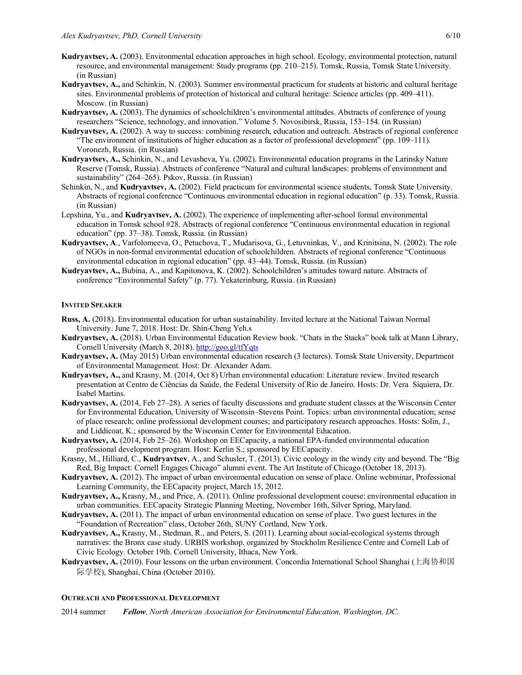- **Kudryavtsev, A.** (2003). Environmental education approaches in high school. Ecology, environmental protection, natural resource, and environmental management: Study programs (pp. 210–215). Tomsk, Russia, Tomsk State University. (in Russian)
- **Kudryavtsev, A.,** and Schinkin, N. (2003). Summer environmental practicum for students at historic and cultural heritage sites. Environmental problems of protection of historical and cultural heritage: Science articles (pp. 409–411). Moscow. (in Russian)
- **Kudryavtsev, A.** (2003). The dynamics of schoolchildren's environmental attitudes. Abstracts of conference of young researchers "Science, technology, and innovation." Volume 5. Novosibirsk, Russia, 153–154. (in Russian)
- **Kudryavtsev, A.** (2002). A way to success: combining research, education and outreach. Abstracts of regional conference "The environment of institutions of higher education as a factor of professional development" (pp. 109–111). Voronezh, Russia. (in Russian)
- **Kudryavtsev, A.,** Schinkin, N., and Levasheva, Yu. (2002). Environmental education programs in the Larinsky Nature Reserve (Tomsk, Russia). Abstracts of conference "Natural and cultural landscapes: problems of environment and sustainability" (264–265). Pskov, Russia. (in Russian)
- Schinkin, N., and **Kudryavtsev, A.** (2002). Field practicum for environmental science students, Tomsk State University. Abstracts of regional conference "Continuous environmental education in regional education" (p. 33). Tomsk, Russia. (in Russian)
- Lepshina, Yu., and **Kudryavtsev, A.** (2002). The experience of implementing after-school formal environmental education in Tomsk school #28. Abstracts of regional conference "Continuous environmental education in regional education" (pp. 37–38). Tomsk, Russia. (in Russian)
- **Kudryavtsev, A**., Varfolomeeva, O., Petuchova, T., Mudarisova, G., Letuvninkas, V., and Krinitsina, N. (2002). The role of NGOs in non-formal environmental education of schoolchildren. Abstracts of regional conference "Continuous environmental education in regional education" (pp. 43–44). Tomsk, Russia. (in Russian)
- **Kudryavtsev, A.,** Bubina, A., and Kapitonova, K. (2002). Schoolchildren's attitudes toward nature. Abstracts of conference "Environmental Safety" (p. 77). Yekaterinburg, Russia. (in Russian)

## **INVITED SPEAKER**

- **Russ, A.** (2018). Environmental education for urban sustainability. Invited lecture at the National Taiwan Normal University. June 7, 2018. Host: Dr. Shin-Cheng Yeh.s
- **Kudryavtsev, A.** (2018). Urban Environmental Education Review book. "Chats in the Stacks" book talk at Mann Library, Cornell University (March 8, 2018). http://goo.gl/tfYqts
- **Kudryavtsev, A.** (May 2015) Urban environmental education research (3 lectures). Tomsk State University, Department of Environmental Management. Host: Dr. Alexander Adam.
- **Kudryavtsev, A.,** and Krasny, M. (2014, Oct 8) Urban environmental education: Literature review. Invited research presentation at Centro de Ciências da Saúde, the Federal University of Rio de Janeiro. Hosts: Dr. Vera Siquiera, Dr. Isabel Martins.
- **Kudryavtsev, A.** (2014, Feb 27–28). A series of faculty discussions and graduate student classes at the Wisconsin Center for Environmental Education, University of Wisconsin–Stevens Point. Topics: urban environmental education; sense of place research; online professional development courses; and participatory research approaches. Hosts: Solin, J., and Liddicoat, K.; sponsored by the Wisconsin Center for Environmental Education.
- **Kudryavtsev, A.** (2014, Feb 25–26). Workshop on EECapacity, a national EPA-funded environmental education professional development program. Host: Kerlin S.; sponsored by EECapacity.
- Krasny, M., Hilliard, C., **Kudryavtsev**, A., and Schusler, T. (2013). Civic ecology in the windy city and beyond. The "Big Red, Big Impact: Cornell Engages Chicago" alumni event. The Art Institute of Chicago (October 18, 2013).
- **Kudryavtsev, A.** (2012). The impact of urban environmental education on sense of place. Online webminar, Professional Learning Community, the EECapacity project, March 15, 2012.
- **Kudryavtsev, A.,** Krasny, M., and Price, A. (2011). Online professional development course: environmental education in urban communities. EECapacity Strategic Planning Meeting, November 16th, Silver Spring, Maryland.
- **Kudryavtsev, A.** (2011). The impact of urban environmental education on sense of place. Two guest lectures in the "Foundation of Recreation" class, October 26th, SUNY Cortland, New York.
- **Kudryavtsev, A.,** Krasny, M., Stedman, R., and Peters, S. (2011). Learning about social-ecological systems through narratives: the Bronx case study. URBIS workshop, organized by Stockholm Resilience Centre and Cornell Lab of Civic Ecology. October 19th. Cornell University, Ithaca, New York.
- **Kudryavtsev, A.** (2010). Four lessons on the urban environment. Concordia International School Shanghai (上海协和国 际学校), Shanghai, China (October 2010).

#### **OUTREACH AND PROFESSIONAL DEVELOPMENT**

2014 summer *Fellow, North American Association for Environmental Education, Washington, DC.*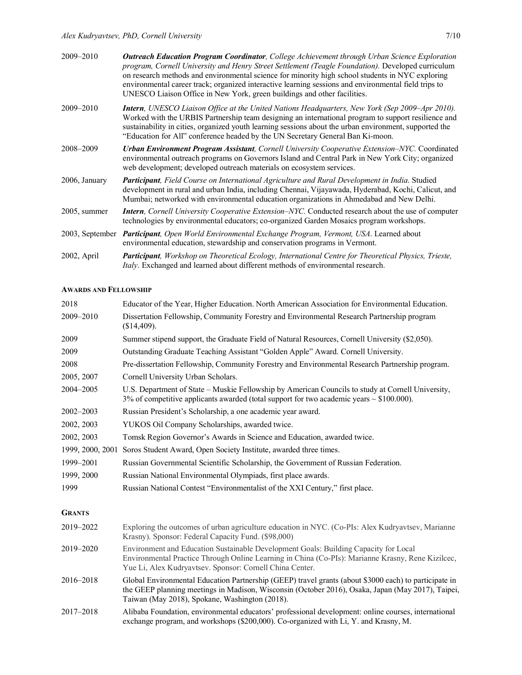| 2009-2010       | <b>Outreach Education Program Coordinator</b> , College Achievement through Urban Science Exploration<br>program, Cornell University and Henry Street Settlement (Teagle Foundation). Developed curriculum<br>on research methods and environmental science for minority high school students in NYC exploring<br>environmental career track; organized interactive learning sessions and environmental field trips to<br>UNESCO Liaison Office in New York, green buildings and other facilities. |
|-----------------|----------------------------------------------------------------------------------------------------------------------------------------------------------------------------------------------------------------------------------------------------------------------------------------------------------------------------------------------------------------------------------------------------------------------------------------------------------------------------------------------------|
| $2009 - 2010$   | <b>Intern,</b> UNESCO Liaison Office at the United Nations Headquarters, New York (Sep 2009–Apr 2010).<br>Worked with the URBIS Partnership team designing an international program to support resilience and<br>sustainability in cities, organized youth learning sessions about the urban environment, supported the<br>"Education for All" conference headed by the UN Secretary General Ban Ki-moon.                                                                                          |
| 2008-2009       | <b>Urban Environment Program Assistant, Cornell University Cooperative Extension–NYC. Coordinated</b><br>environmental outreach programs on Governors Island and Central Park in New York City; organized<br>web development; developed outreach materials on ecosystem services.                                                                                                                                                                                                                  |
| 2006, January   | Participant, Field Course on International Agriculture and Rural Development in India. Studied<br>development in rural and urban India, including Chennai, Vijayawada, Hyderabad, Kochi, Calicut, and<br>Mumbai; networked with environmental education organizations in Ahmedabad and New Delhi.                                                                                                                                                                                                  |
| $2005$ , summer | <b>Intern,</b> Cornell University Cooperative Extension–NYC. Conducted research about the use of computer<br>technologies by environmental educators; co-organized Garden Mosaics program workshops.                                                                                                                                                                                                                                                                                               |
|                 | 2003, September <i>Participant, Open World Environmental Exchange Program, Vermont, USA</i> . Learned about<br>environmental education, stewardship and conservation programs in Vermont.                                                                                                                                                                                                                                                                                                          |
| 2002, April     | <b>Participant</b> , Workshop on Theoretical Ecology, International Centre for Theoretical Physics, Trieste,<br>Italy. Exchanged and learned about different methods of environmental research.                                                                                                                                                                                                                                                                                                    |

#### **AWARDS AND FELLOWSHIP**

| 2018             | Educator of the Year, Higher Education. North American Association for Environmental Education.                                                                                                                                                       |
|------------------|-------------------------------------------------------------------------------------------------------------------------------------------------------------------------------------------------------------------------------------------------------|
| 2009-2010        | Dissertation Fellowship, Community Forestry and Environmental Research Partnership program<br>(\$14,409).                                                                                                                                             |
| 2009             | Summer stipend support, the Graduate Field of Natural Resources, Cornell University (\$2,050).                                                                                                                                                        |
| 2009             | Outstanding Graduate Teaching Assistant "Golden Apple" Award. Cornell University.                                                                                                                                                                     |
| 2008             | Pre-dissertation Fellowship, Community Forestry and Environmental Research Partnership program.                                                                                                                                                       |
| 2005, 2007       | Cornell University Urban Scholars.                                                                                                                                                                                                                    |
| 2004-2005        | U.S. Department of State - Muskie Fellowship by American Councils to study at Cornell University,<br>3% of competitive applicants awarded (total support for two academic years $\sim$ \$100.000).                                                    |
| 2002-2003        | Russian President's Scholarship, a one academic year award.                                                                                                                                                                                           |
| 2002, 2003       | YUKOS Oil Company Scholarships, awarded twice.                                                                                                                                                                                                        |
| 2002, 2003       | Tomsk Region Governor's Awards in Science and Education, awarded twice.                                                                                                                                                                               |
| 1999, 2000, 2001 | Soros Student Award, Open Society Institute, awarded three times.                                                                                                                                                                                     |
| 1999-2001        | Russian Governmental Scientific Scholarship, the Government of Russian Federation.                                                                                                                                                                    |
| 1999, 2000       | Russian National Environmental Olympiads, first place awards.                                                                                                                                                                                         |
| 1999             | Russian National Contest "Environmentalist of the XXI Century," first place.                                                                                                                                                                          |
| <b>GRANTS</b>    |                                                                                                                                                                                                                                                       |
| 2019-2022        | Exploring the outcomes of urban agriculture education in NYC. (Co-PIs: Alex Kudryavtsev, Marianne<br>Krasny). Sponsor: Federal Capacity Fund. (\$98,000)                                                                                              |
| 2019-2020        | Environment and Education Sustainable Development Goals: Building Capacity for Local<br>Environmental Practice Through Online Learning in China (Co-PIs): Marianne Krasny, Rene Kizilcec,<br>Yue Li, Alex Kudryavtsev. Sponsor: Cornell China Center. |

- 2016–2018 Global Environmental Education Partnership (GEEP) travel grants (about \$3000 each) to participate in the GEEP planning meetings in Madison, Wisconsin (October 2016), Osaka, Japan (May 2017), Taipei, Taiwan (May 2018), Spokane, Washington (2018).
- 2017–2018 Alibaba Foundation, environmental educators' professional development: online courses, international exchange program, and workshops (\$200,000). Co-organized with Li, Y. and Krasny, M.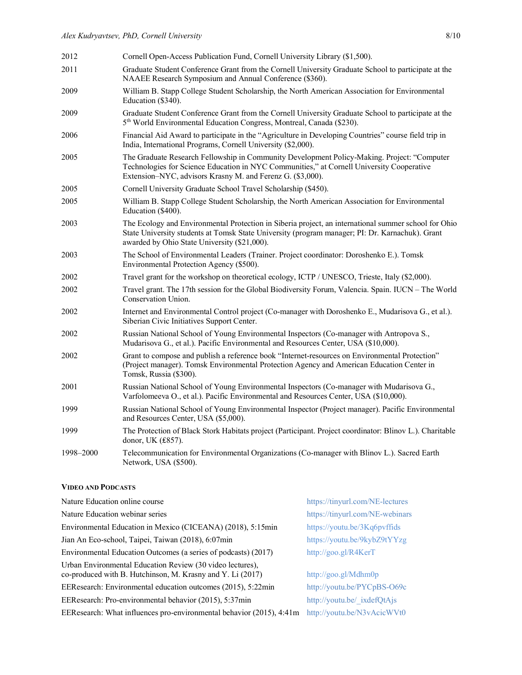| 2012      | Cornell Open-Access Publication Fund, Cornell University Library (\$1,500).                                                                                                                                                                             |
|-----------|---------------------------------------------------------------------------------------------------------------------------------------------------------------------------------------------------------------------------------------------------------|
| 2011      | Graduate Student Conference Grant from the Cornell University Graduate School to participate at the<br>NAAEE Research Symposium and Annual Conference (\$360).                                                                                          |
| 2009      | William B. Stapp College Student Scholarship, the North American Association for Environmental<br>Education (\$340).                                                                                                                                    |
| 2009      | Graduate Student Conference Grant from the Cornell University Graduate School to participate at the<br>5 <sup>th</sup> World Environmental Education Congress, Montreal, Canada (\$230).                                                                |
| 2006      | Financial Aid Award to participate in the "Agriculture in Developing Countries" course field trip in<br>India, International Programs, Cornell University (\$2,000).                                                                                    |
| 2005      | The Graduate Research Fellowship in Community Development Policy-Making. Project: "Computer<br>Technologies for Science Education in NYC Communities," at Cornell University Cooperative<br>Extension-NYC, advisors Krasny M. and Ferenz G. (\$3,000).  |
| 2005      | Cornell University Graduate School Travel Scholarship (\$450).                                                                                                                                                                                          |
| 2005      | William B. Stapp College Student Scholarship, the North American Association for Environmental<br>Education (\$400).                                                                                                                                    |
| 2003      | The Ecology and Environmental Protection in Siberia project, an international summer school for Ohio<br>State University students at Tomsk State University (program manager; PI: Dr. Karnachuk). Grant<br>awarded by Ohio State University (\$21,000). |
| 2003      | The School of Environmental Leaders (Trainer. Project coordinator: Doroshenko E.). Tomsk<br>Environmental Protection Agency (\$500).                                                                                                                    |
| 2002      | Travel grant for the workshop on theoretical ecology, ICTP / UNESCO, Trieste, Italy (\$2,000).                                                                                                                                                          |
| 2002      | Travel grant. The 17th session for the Global Biodiversity Forum, Valencia. Spain. IUCN – The World<br>Conservation Union.                                                                                                                              |
| 2002      | Internet and Environmental Control project (Co-manager with Doroshenko E., Mudarisova G., et al.).<br>Siberian Civic Initiatives Support Center.                                                                                                        |
| 2002      | Russian National School of Young Environmental Inspectors (Co-manager with Antropova S.,<br>Mudarisova G., et al.). Pacific Environmental and Resources Center, USA (\$10,000).                                                                         |
| 2002      | Grant to compose and publish a reference book "Internet-resources on Environmental Protection"<br>(Project manager). Tomsk Environmental Protection Agency and American Education Center in<br>Tomsk, Russia (\$300).                                   |
| 2001      | Russian National School of Young Environmental Inspectors (Co-manager with Mudarisova G.,<br>Varfolomeeva O., et al.). Pacific Environmental and Resources Center, USA (\$10,000).                                                                      |
| 1999      | Russian National School of Young Environmental Inspector (Project manager). Pacific Environmental<br>and Resources Center, USA (\$5,000).                                                                                                               |
| 1999      | The Protection of Black Stork Habitats project (Participant. Project coordinator: Blinov L.). Charitable<br>donor, UK (£857).                                                                                                                           |
| 1998-2000 | Telecommunication for Environmental Organizations (Co-manager with Blinov L.). Sacred Earth<br>Network, USA (\$500).                                                                                                                                    |

## **VIDEO AND PODCASTS**

| Nature Education online course                                                                                          | https://tinyurl.com/NE-lectures |
|-------------------------------------------------------------------------------------------------------------------------|---------------------------------|
| Nature Education webinar series                                                                                         | https://tinyurl.com/NE-webinars |
| Environmental Education in Mexico (CICEANA) (2018), 5:15min                                                             | https://youtu.be/3Kq6pvffids    |
| Jian An Eco-school, Taipei, Taiwan (2018), 6.07min                                                                      | https://youtu.be/9kybZ9tYYzg    |
| Environmental Education Outcomes (a series of podcasts) (2017)                                                          | http://goo.gl/R4KerT            |
| Urban Environmental Education Review (30 video lectures),<br>co-produced with B. Hutchinson, M. Krasny and Y. Li (2017) | http://goo.gl/Mdhm0p            |
| EEResearch: Environmental education outcomes (2015), 5:22min                                                            | http://youtu.be/PYCpBS-O69c     |
| EEResearch: Pro-environmental behavior (2015), 5:37min                                                                  | http://youtu.be/ ixdefQtAjs     |
| EEResearch: What influences pro-environmental behavior (2015), 4:41m                                                    | http://youtu.be/N3vAcicWVt0     |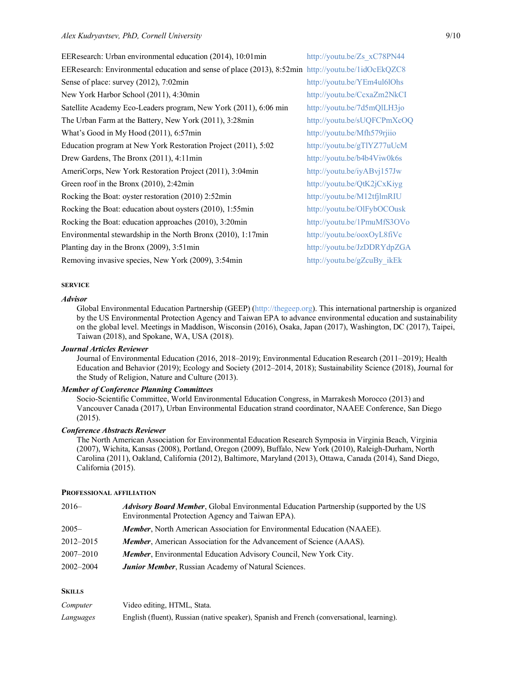| EEResearch: Urban environmental education (2014), 10.01min                                         | http://youtu.be/Zs xC78PN44 |
|----------------------------------------------------------------------------------------------------|-----------------------------|
| EEResearch: Environmental education and sense of place (2013), 8:52min http://youtu.be/1idOcEkQZC8 |                             |
| Sense of place: survey (2012), 7:02min                                                             | http://youtu.be/YEm4ul6lOhs |
| New York Harbor School (2011), 4:30min                                                             | http://youtu.be/CcxaZm2NkCI |
| Satellite Academy Eco-Leaders program, New York (2011), 6:06 min                                   | http://youtu.be/7d5mQlLH3jo |
| The Urban Farm at the Battery, New York (2011), 3:28min                                            | http://youtu.be/sUQFCPmXcOQ |
| What's Good in My Hood (2011), 6:57min                                                             | http://youtu.be/Mfh579rjiio |
| Education program at New York Restoration Project (2011), 5:02                                     | http://youtu.be/gTlYZ77uUcM |
| Drew Gardens, The Bronx (2011), 4:11min                                                            | http://youtu.be/b4b4Viw0k6s |
| AmeriCorps, New York Restoration Project (2011), 3:04min                                           | http://youtu.be/iyABvj157Jw |
| Green roof in the Bronx $(2010)$ , 2.42min                                                         | http://youtu.be/QtK2jCxKiyg |
| Rocking the Boat: oyster restoration (2010) 2:52min                                                | http://youtu.be/M12tfjlmRIU |
| Rocking the Boat: education about oysters (2010), 1:55min                                          | http://youtu.be/OlFybOCOusk |
| Rocking the Boat: education approaches (2010), 3:20min                                             | http://youtu.be/1PmuMfS3OVo |
| Environmental stewardship in the North Bronx (2010), 1:17min                                       | http://youtu.be/ooxOyL8fiVc |
| Planting day in the Bronx $(2009)$ , 3.51 min                                                      | http://youtu.be/JzDDRYdpZGA |
| Removing invasive species, New York (2009), 3:54min                                                | http://youtu.be/gZcuBy ikEk |

# **SERVICE**

#### *Advisor*

Global Environmental Education Partnership (GEEP) (http://thegeep.org). This international partnership is organized by the US Environmental Protection Agency and Taiwan EPA to advance environmental education and sustainability on the global level. Meetings in Maddison, Wisconsin (2016), Osaka, Japan (2017), Washington, DC (2017), Taipei, Taiwan (2018), and Spokane, WA, USA (2018).

#### *Journal Articles Reviewer*

Journal of Environmental Education (2016, 2018–2019); Environmental Education Research (2011–2019); Health Education and Behavior (2019); Ecology and Society (2012–2014, 2018); Sustainability Science (2018), Journal for the Study of Religion, Nature and Culture (2013).

## *Member of Conference Planning Committees*

Socio-Scientific Committee, World Environmental Education Congress, in Marrakesh Morocco (2013) and Vancouver Canada (2017), Urban Environmental Education strand coordinator, NAAEE Conference, San Diego (2015).

#### *Conference Abstracts Reviewer*

The North American Association for Environmental Education Research Symposia in Virginia Beach, Virginia (2007), Wichita, Kansas (2008), Portland, Oregon (2009), Buffalo, New York (2010), Raleigh-Durham, North Carolina (2011), Oakland, California (2012), Baltimore, Maryland (2013), Ottawa, Canada (2014), Sand Diego, California (2015).

#### **PROFESSIONAL AFFILIATION**

| $2016-$       | <i>Advisory Board Member</i> , Global Environmental Education Partnership (supported by the US<br>Environmental Protection Agency and Taiwan EPA). |
|---------------|----------------------------------------------------------------------------------------------------------------------------------------------------|
| $2005 -$      | Member, North American Association for Environmental Education (NAAEE).                                                                            |
| $2012 - 2015$ | Member, American Association for the Advancement of Science (AAAS).                                                                                |
| $2007 - 2010$ | <b>Member</b> , Environmental Education Advisory Council, New York City.                                                                           |
| 2002–2004     | <b>Junior Member, Russian Academy of Natural Sciences.</b>                                                                                         |

#### **SKILLS**

| Computer  | Video editing, HTML, Stata.                                                                |
|-----------|--------------------------------------------------------------------------------------------|
| Languages | English (fluent), Russian (native speaker), Spanish and French (conversational, learning). |